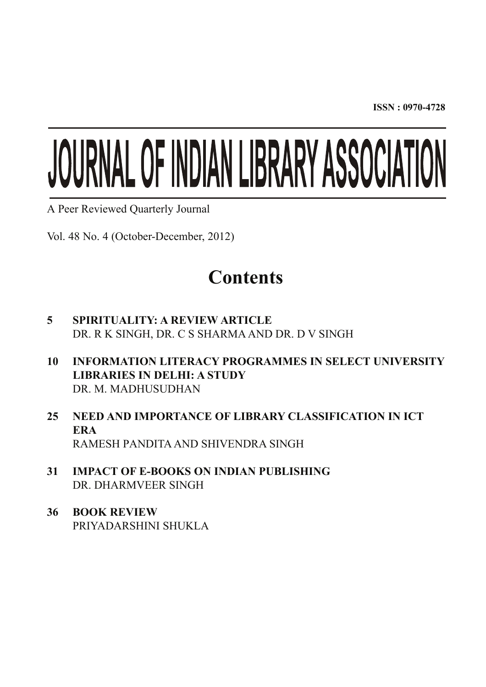**ISSN : 0970-4728**

# JOURNAL OF INDIAN LIBRARY ASSOCIATION

A Peer Reviewed Quarterly Journal

Vol. 48 No. 4 (October-December, 2012)

## **Contents**

- **5 SPIRITUALITY: A REVIEW ARTICLE** DR. R K SINGH, DR. C S SHARMA AND DR. D V SINGH
- **10 INFORMATION LITERACY PROGRAMMES IN SELECT UNIVERSITY LIBRARIES IN DELHI: A STUDY** DR. M. MADHUSUDHAN
- **25 NEED AND IMPORTANCE OF LIBRARY CLASSIFICATION IN ICT ERA** RAMESH PANDITA AND SHIVENDRA SINGH
- **31 IMPACT OF E-BOOKS ON INDIAN PUBLISHING** DR. DHARMVEER SINGH
- **36 BOOK REVIEW** PRIYADARSHINI SHUKLA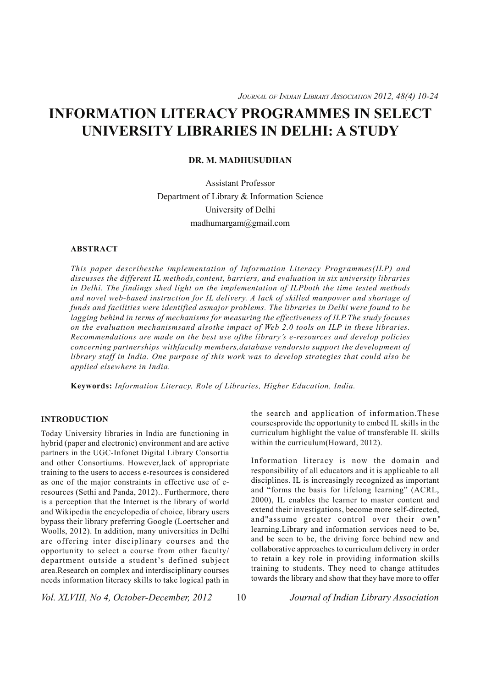#### **DR. M. MADHUSUDHAN**

Assistant Professor Department of Library & Information Science University of Delhi madhumargam@gmail.com

#### **ABSTRACT**

*This paper describesthe implementation of Information Literacy Programmes(ILP) and discusses the different IL methods,content, barriers, and evaluation in six university libraries in Delhi. The findings shed light on the implementation of ILPboth the time tested methods and novel web-based instruction for IL delivery. A lack of skilled manpower and shortage of funds and facilities were identified asmajor problems. The libraries in Delhi were found to be lagging behind in terms of mechanisms for measuring the effectiveness of ILP.The study focuses on the evaluation mechanismsand alsothe impact of Web 2.0 tools on ILP in these libraries. Recommendations are made on the best use ofthe library's e-resources and develop policies concerning partnerships withfaculty members,database vendorsto support the development of library staff in India. One purpose of this work was to develop strategies that could also be applied elsewhere in India.*

**Keywords:** *Information Literacy, Role of Libraries, Higher Education, India.*

#### **INTRODUCTION**

Today University libraries in India are functioning in hybrid (paper and electronic) environment and are active partners in the UGC-Infonet Digital Library Consortia and other Consortiums. However,lack of appropriate training to the users to access e-resources is considered as one of the major constraints in effective use of eresources (Sethi and Panda, 2012).. Furthermore, there is a perception that the Internet is the library of world and Wikipedia the encyclopedia of choice, library users bypass their library preferring Google (Loertscher and Woolls, 2012). In addition, many universities in Delhi are offering inter disciplinary courses and the opportunity to select a course from other faculty/ department outside a student's defined subject area.Research on complex and interdisciplinary courses needs information literacy skills to take logical path in

the search and application of information.These coursesprovide the opportunity to embed IL skills in the curriculum highlight the value of transferable IL skills within the curriculum (Howard, 2012).

Information literacy is now the domain and responsibility of all educators and it is applicable to all disciplines. IL is increasingly recognized as important and "forms the basis for lifelong learning" (ACRL, 2000), IL enables the learner to master content and extend their investigations, become more self-directed, and"assume greater control over their own" learning.Library and information services need to be, and be seen to be, the driving force behind new and collaborative approaches to curriculum delivery in order to retain a key role in providing information skills training to students. They need to change attitudes towards the library and show that they have more to offer

*Vol. XLVIII, No 4, October-December, 2012* 10 *Journal of Indian Library Association*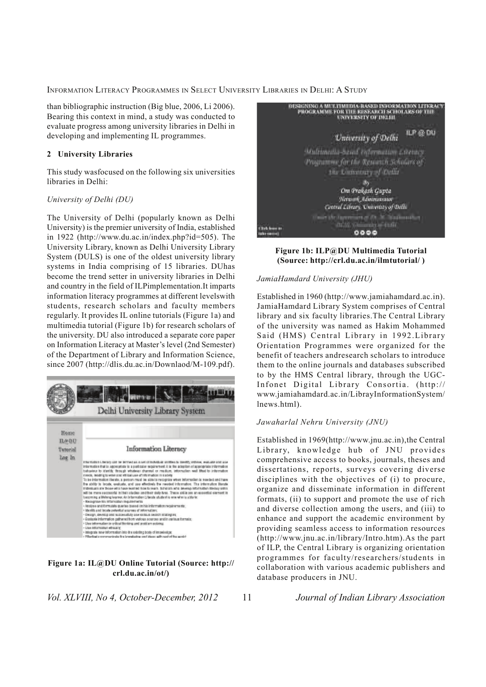than bibliographic instruction (Big blue, 2006, Li 2006). Bearing this context in mind, a study was conducted to evaluate progress among university libraries in Delhi in developing and implementing IL programmes.

#### **2 University Libraries**

This study wasfocused on the following six universities libraries in Delhi:

#### *University of Delhi (DU)*

The University of Delhi (popularly known as Delhi University) is the premier university of India, established in 1922 (http://www.du.ac.in/index.php?id=505). The University Library, known as Delhi University Library System (DULS) is one of the oldest university library systems in India comprising of 15 libraries. DUhas become the trend setter in university libraries in Delhi and country in the field of ILPimplementation.It imparts information literacy programmes at different levelswith students, research scholars and faculty members regularly. It provides IL online tutorials (Figure 1a) and multimedia tutorial (Figure 1b) for research scholars of the university. DU also introduced a separate core paper on Information Literacy at Master's level (2nd Semester) of the Department of Library and Information Science, since 2007 (http://dlis.du.ac.in/Downlaod/M-109.pdf).



#### **Figure 1a: IL@DU Online Tutorial (Source: http:// crl.du.ac.in/ot/)**

*Vol. XLVIII, No 4, October-December, 2012* 11 *Journal of Indian Library Association*



#### **Figure 1b: ILP@DU Multimedia Tutorial (Source: http://crl.du.ac.in/ilmtutorial/ )**

#### *JamiaHamdard University (JHU)*

Established in 1960 (http://www.jamiahamdard.ac.in). JamiaHamdard Library System comprises of Central library and six faculty libraries.The Central Library of the university was named as Hakim Mohammed Said (HMS) Central Library in 1992.Library Orientation Programmes were organized for the benefit of teachers andresearch scholars to introduce them to the online journals and databases subscribed to by the HMS Central library, through the UGC-Infonet Digital Library Consortia. (http:// www.jamiahamdard.ac.in/LibrayInformationSystem/ lnews.html).

#### *Jawaharlal Nehru University (JNU)*

Established in 1969(http://www.jnu.ac.in),the Central Library, knowledge hub of JNU provides comprehensive access to books, journals, theses and dissertations, reports, surveys covering diverse disciplines with the objectives of (i) to procure, organize and disseminate information in different formats, (ii) to support and promote the use of rich and diverse collection among the users, and (iii) to enhance and support the academic environment by providing seamless access to information resources (http://www.jnu.ac.in/library/Intro.htm).As the part of ILP, the Central Library is organizing orientation programmes for faculty/researchers/students in collaboration with various academic publishers and database producers in JNU.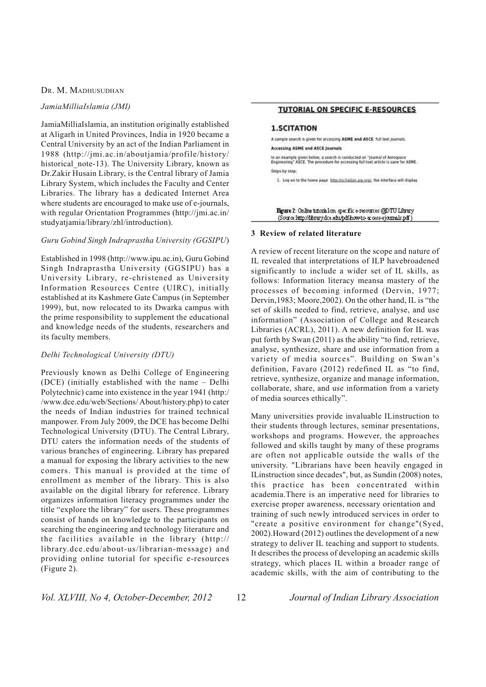#### *JamiaMilliaIslamia (JMI)*

JamiaMilliaIslamia, an institution originally established at Aligarh in United Provinces, India in 1920 became a Central University by an act of the Indian Parliament in 1988 (http://jmi.ac.in/aboutjamia/profile/history/ historical note-13). The University Library, known as Dr.Zakir Husain Library, is the Central library of Jamia Library System, which includes the Faculty and Center Libraries. The library has a dedicated Internet Area where students are encouraged to make use of e-journals, with regular Orientation Programmes (http://jmi.ac.in/ studyatjamia/library/zhl/introduction).

#### *Guru Gobind Singh Indraprastha University (GGSIPU*)

Established in 1998 (http://www.ipu.ac.in), Guru Gobind Singh Indraprastha University (GGSIPU) has a University Library, re-christened as University Information Resources Centre (UIRC), initially established at its Kashmere Gate Campus (in September 1999), but, now relocated to its Dwarka campus with the prime responsibility to supplement the educational and knowledge needs of the students, researchers and its faculty members.

#### *Delhi Technological University (DTU)*

Previously known as Delhi College of Engineering (DCE) (initially established with the name – Delhi Polytechnic) came into existence in the year 1941 (http:/ /www.dce.edu/web/Sections/ About/history.php) to cater the needs of Indian industries for trained technical manpower. From July 2009, the DCE has become Delhi Technological University (DTU). The Central Library, DTU caters the information needs of the students of various branches of engineering. Library has prepared a manual for exposing the library activities to the new comers. This manual is provided at the time of enrollment as member of the library. This is also available on the digital library for reference. Library organizes information literacy programmes under the title "explore the library" for users. These programmes consist of hands on knowledge to the participants on searching the engineering and technology literature and the facilities available in the library (http:// library.dce.edu/about-us/librarian-message) and providing online tutorial for specific e-resources (Figure 2).

#### **TUTORIAL ON SPECIFIC E-RESOURCES**

#### **1.SCITATION**

A sample search is given for accessing ASME and ASCE Nill text journals. Accessing ASME and ASCE Journals In an example given below, a search is conducted on "Journal of Aerospace<br>Engineering" ASCE. The procedure for accessing full text article is same for ASME.

Steps by step:

1. Log on to the home page http://scitation.aip.cod/. the interface will display

Egure 2: Online tutorial on specific e-resources @DTU Library (Source http://hbrary.dce.edu/pdf.how-to-access-ejournals.pdf)

#### **3 Review of related literature**

A review of recent literature on the scope and nature of IL revealed that interpretations of ILP havebroadened significantly to include a wider set of IL skills, as follows: Information literacy meansa mastery of the processes of becoming informed (Dervin, 1977; Dervin,1983; Moore,2002). On the other hand, IL is "the set of skills needed to find, retrieve, analyse, and use information" (Association of College and Research Libraries (ACRL), 2011). A new definition for IL was put forth by Swan (2011) as the ability "to find, retrieve, analyse, synthesize, share and use information from a variety of media sources". Building on Swan's definition, Favaro (2012) redefined IL as "to find, retrieve, synthesize, organize and manage information, collaborate, share, and use information from a variety of media sources ethically".

Many universities provide invaluable ILinstruction to their students through lectures, seminar presentations, workshops and programs. However, the approaches followed and skills taught by many of these programs are often not applicable outside the walls of the university. "Librarians have been heavily engaged in ILinstruction since decades", but, as Sundin (2008) notes, this practice has been concentrated within academia.There is an imperative need for libraries to exercise proper awareness, necessary orientation and training of such newly introduced services in order to "create a positive environment for change"(Syed, 2002).Howard (2012) outlines the development of a new strategy to deliver IL teaching and support to students. It describes the process of developing an academic skills strategy, which places IL within a broader range of academic skills, with the aim of contributing to the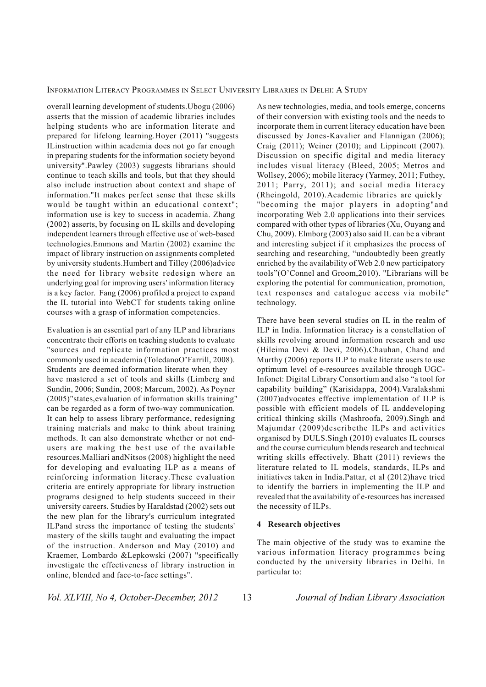overall learning development of students.Ubogu (2006) asserts that the mission of academic libraries includes helping students who are information literate and prepared for lifelong learning.Hoyer (2011) "suggests ILinstruction within academia does not go far enough in preparing students for the information society beyond university".Pawley (2003) suggests librarians should continue to teach skills and tools, but that they should also include instruction about context and shape of information."It makes perfect sense that these skills would be taught within an educational context"; information use is key to success in academia. Zhang (2002) asserts, by focusing on IL skills and developing independent learners through effective use of web-based technologies.Emmons and Martin (2002) examine the impact of library instruction on assignments completed by university students.Humbert and Tilley (2006)advice the need for library website redesign where an underlying goal for improving users' information literacy is a key factor. Fang (2006) profiled a project to expand the IL tutorial into WebCT for students taking online courses with a grasp of information competencies.

Evaluation is an essential part of any ILP and librarians concentrate their efforts on teaching students to evaluate "sources and replicate information practices most commonly used in academia (ToledanoO'Farrill, 2008). Students are deemed information literate when they have mastered a set of tools and skills (Limberg and Sundin, 2006; Sundin, 2008; Marcum, 2002). As Poyner (2005)"states,evaluation of information skills training" can be regarded as a form of two-way communication. It can help to assess library performance, redesigning training materials and make to think about training methods. It can also demonstrate whether or not endusers are making the best use of the available resources.Malliari andNitsos (2008) highlight the need for developing and evaluating ILP as a means of reinforcing information literacy.These evaluation criteria are entirely appropriate for library instruction programs designed to help students succeed in their university careers. Studies by Haraldstad (2002) sets out the new plan for the library's curriculum integrated ILPand stress the importance of testing the students' mastery of the skills taught and evaluating the impact of the instruction. Anderson and May (2010) and Kraemer, Lombardo &Lepkowski (2007) "specifically investigate the effectiveness of library instruction in online, blended and face-to-face settings".

As new technologies, media, and tools emerge, concerns of their conversion with existing tools and the needs to incorporate them in current literacy education have been discussed by Jones-Kavalier and Flannigan (2006); Craig (2011); Weiner (2010); and Lippincott (2007). Discussion on specific digital and media literacy includes visual literacy (Bleed, 2005; Metros and Wollsey, 2006); mobile literacy (Yarmey, 2011; Futhey, 2011; Parry, 2011); and social media literacy (Rheingold, 2010).Academic libraries are quickly "becoming the major players in adopting"and incorporating Web 2.0 applications into their services compared with other types of libraries (Xu, Ouyang and Chu, 2009). Elmborg (2003) also said IL can be a vibrant and interesting subject if it emphasizes the process of searching and researching, "undoubtedly been greatly enriched by the availability of Web 2.0 new participatory tools"(O'Connel and Groom,2010). "Librarians will be exploring the potential for communication, promotion, text responses and catalogue access via mobile" technology.

There have been several studies on IL in the realm of ILP in India. Information literacy is a constellation of skills revolving around information research and use (Hileima Devi & Devi, 2006).Chauhan, Chand and Murthy (2006) reports ILP to make literate users to use optimum level of e-resources available through UGC-Infonet: Digital Library Consortium and also "a tool for capability building" (Karisidappa, 2004).Varalakshmi (2007)advocates effective implementation of ILP is possible with efficient models of IL anddeveloping critical thinking skills (Mashroofa, 2009).Singh and Majumdar (2009)describethe ILPs and activities organised by DULS.Singh (2010) evaluates IL courses and the course curriculum blends research and technical writing skills effectively. Bhatt (2011) reviews the literature related to IL models, standards, ILPs and initiatives taken in India.Pattar, et al (2012)have tried to identify the barriers in implementing the ILP and revealed that the availability of e-resources has increased the necessity of ILPs.

#### **4 Research objectives**

The main objective of the study was to examine the various information literacy programmes being conducted by the university libraries in Delhi. In particular to:

*Vol. XLVIII, No 4, October-December, 2012* 13 *Journal of Indian Library Association*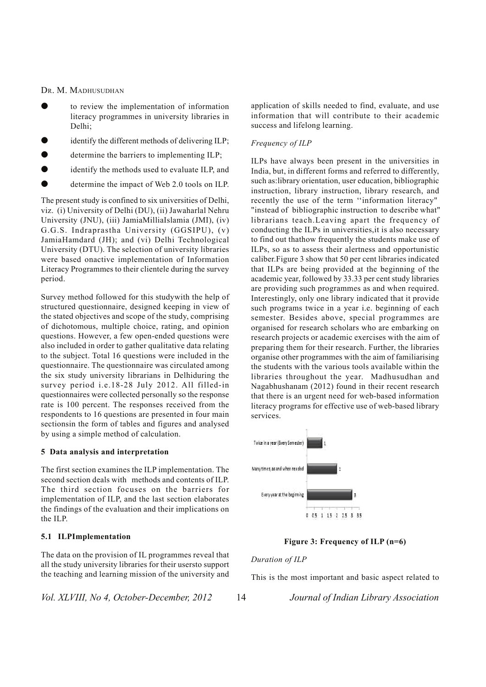- to review the implementation of information literacy programmes in university libraries in Delhi;
- identify the different methods of delivering ILP;
- determine the barriers to implementing ILP;
- identify the methods used to evaluate ILP, and
- determine the impact of Web 2.0 tools on ILP.

The present study is confined to six universities of Delhi, viz. (i) University of Delhi (DU), (ii) Jawaharlal Nehru University (JNU), (iii) JamiaMilliaIslamia (JMI), (iv) G.G.S. Indraprastha University (GGSIPU), (v) JamiaHamdard (JH); and (vi) Delhi Technological University (DTU). The selection of university libraries were based onactive implementation of Information Literacy Programmes to their clientele during the survey period.

Survey method followed for this studywith the help of structured questionnaire, designed keeping in view of the stated objectives and scope of the study, comprising of dichotomous, multiple choice, rating, and opinion questions. However, a few open-ended questions were also included in order to gather qualitative data relating to the subject. Total 16 questions were included in the questionnaire. The questionnaire was circulated among the six study university librarians in Delhiduring the survey period i.e.18-28 July 2012. All filled-in questionnaires were collected personally so the response rate is 100 percent. The responses received from the respondents to 16 questions are presented in four main sectionsin the form of tables and figures and analysed by using a simple method of calculation.

#### **5 Data analysis and interpretation**

The first section examines the ILP implementation. The second section deals with methods and contents of ILP. The third section focuses on the barriers for implementation of ILP, and the last section elaborates the findings of the evaluation and their implications on the ILP.

#### **5.1 ILPImplementation**

The data on the provision of IL programmes reveal that all the study university libraries for their usersto support the teaching and learning mission of the university and

*Vol. XLVIII, No 4, October-December, 2012* 14 *Journal of Indian Library Association*

application of skills needed to find, evaluate, and use information that will contribute to their academic success and lifelong learning.

#### *Frequency of ILP*

ILPs have always been present in the universities in India, but, in different forms and referred to differently, such as:library orientation, user education, bibliographic instruction, library instruction, library research, and recently the use of the term ''information literacy" "instead of bibliographic instruction to describe what" librarians teach.Leaving apart the frequency of conducting the ILPs in universities,it is also necessary to find out thathow frequently the students make use of ILPs, so as to assess their alertness and opportunistic caliber.Figure 3 show that 50 per cent libraries indicated that ILPs are being provided at the beginning of the academic year, followed by 33.33 per cent study libraries are providing such programmes as and when required. Interestingly, only one library indicated that it provide such programs twice in a year i.e. beginning of each semester. Besides above, special programmes are organised for research scholars who are embarking on research projects or academic exercises with the aim of preparing them for their research. Further, the libraries organise other programmes with the aim of familiarising the students with the various tools available within the libraries throughout the year. Madhusudhan and Nagabhushanam (2012) found in their recent research that there is an urgent need for web-based information literacy programs for effective use of web-based library services.



#### **Figure 3: Frequency of ILP (n=6)**

#### *Duration of ILP*

This is the most important and basic aspect related to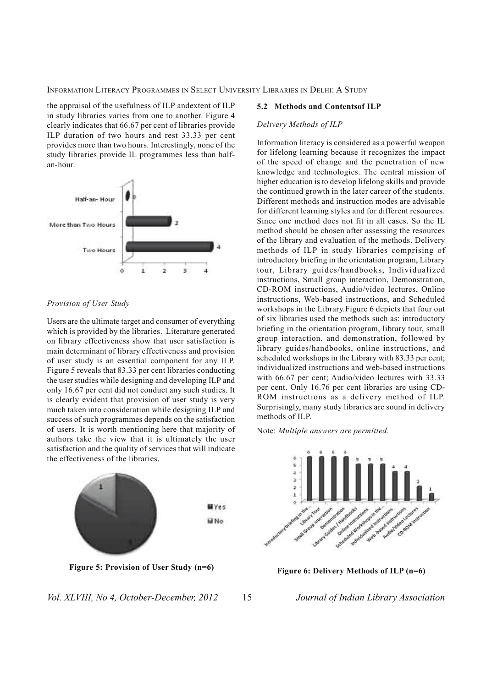the appraisal of the usefulness of ILP andextent of ILP in study libraries varies from one to another. Figure 4 clearly indicates that 66.67 per cent of libraries provide ILP duration of two hours and rest 33.33 per cent provides more than two hours. Interestingly, none of the study libraries provide IL programmes less than halfan-hour.



#### *Provision of User Study*

Users are the ultimate target and consumer of everything which is provided by the libraries. Literature generated on library effectiveness show that user satisfaction is main determinant of library effectiveness and provision of user study is an essential component for any ILP. Figure 5 reveals that 83.33 per cent libraries conducting the user studies while designing and developing ILP and only 16.67 per cent did not conduct any such studies. It is clearly evident that provision of user study is very much taken into consideration while designing ILP and success of such programmes depends on the satisfaction of users. It is worth mentioning here that majority of authors take the view that it is ultimately the user satisfaction and the quality of services that will indicate the effectiveness of the libraries.



#### *Vol. XLVIII, No 4, October-December, 2012* 15 *Journal of Indian Library Association*

#### **5.2 Methods and Contentsof ILP**

#### *Delivery Methods of ILP*

Information literacy is considered as a powerful weapon for lifelong learning because it recognizes the impact of the speed of change and the penetration of new knowledge and technologies. The central mission of higher education is to develop lifelong skills and provide the continued growth in the later career of the students. Different methods and instruction modes are advisable for different learning styles and for different resources. Since one method does not fit in all cases. So the IL method should be chosen after assessing the resources of the library and evaluation of the methods. Delivery methods of ILP in study libraries comprising of introductory briefing in the orientation program, Library tour, Library guides/handbooks, Individualized instructions, Small group interaction, Demonstration, CD-ROM instructions, Audio/video lectures, Online instructions, Web-based instructions, and Scheduled workshops in the Library.Figure 6 depicts that four out of six libraries used the methods such as: introductory briefing in the orientation program, library tour, small group interaction, and demonstration, followed by library guides/handbooks, online instructions, and scheduled workshops in the Library with 83.33 per cent; individualized instructions and web-based instructions with 66.67 per cent; Audio/video lectures with 33.33 per cent. Only 16.76 per cent libraries are using CD-ROM instructions as a delivery method of ILP. Surprisingly, many study libraries are sound in delivery methods of ILP.

Note: *Multiple answers are permitted.*

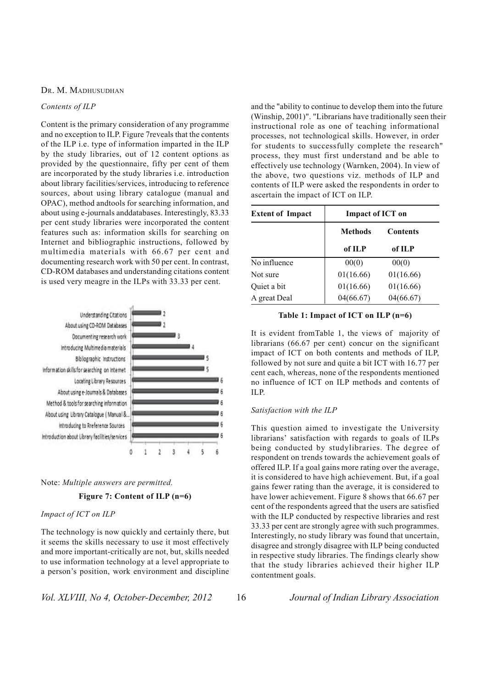#### *Contents of ILP*

Content is the primary consideration of any programme and no exception to ILP. Figure 7reveals that the contents of the ILP i.e. type of information imparted in the ILP by the study libraries, out of 12 content options as provided by the questionnaire, fifty per cent of them are incorporated by the study libraries i.e. introduction about library facilities/services, introducing to reference sources, about using library catalogue (manual and OPAC), method andtools for searching information, and about using e-journals anddatabases. Interestingly, 83.33 per cent study libraries were incorporated the content features such as: information skills for searching on Internet and bibliographic instructions, followed by multimedia materials with 66.67 per cent and documenting research work with 50 per cent. In contrast, CD-ROM databases and understanding citations content is used very meagre in the ILPs with 33.33 per cent.



#### Note: *Multiple answers are permitted.*

#### **Figure 7: Content of ILP (n=6)**

#### *Impact of ICT on ILP*

The technology is now quickly and certainly there, but it seems the skills necessary to use it most effectively and more important-critically are not, but, skills needed to use information technology at a level appropriate to a person's position, work environment and discipline

*Vol. XLVIII, No 4, October-December, 2012* 16 *Journal of Indian Library Association*

and the "ability to continue to develop them into the future (Winship, 2001)". "Librarians have traditionally seen their instructional role as one of teaching informational processes, not technological skills. However, in order for students to successfully complete the research" process, they must first understand and be able to effectively use technology (Warnken, 2004). In view of the above, two questions viz. methods of ILP and contents of ILP were asked the respondents in order to ascertain the impact of ICT on ILP.

| <b>Extent of Impact</b> | <b>Impact of ICT on</b> |                 |  |
|-------------------------|-------------------------|-----------------|--|
|                         | <b>Methods</b>          | <b>Contents</b> |  |
|                         | of ILP                  | of ILP          |  |
| No influence            | 00(0)                   | 00(0)           |  |
| Not sure                | 01(16.66)               | 01(16.66)       |  |
| Quiet a bit             | 01(16.66)               | 01(16.66)       |  |
| A great Deal            | 04(66.67)               | 04(66.67)       |  |

| Table 1: Impact of ICT on ILP (n=6) |  |  |  |
|-------------------------------------|--|--|--|
|-------------------------------------|--|--|--|

It is evident fromTable 1, the views of majority of librarians (66.67 per cent) concur on the significant impact of ICT on both contents and methods of ILP, followed by not sure and quite a bit ICT with 16.77 per cent each, whereas, none of the respondents mentioned no influence of ICT on ILP methods and contents of ILP.

#### *Satisfaction with the ILP*

This question aimed to investigate the University librarians' satisfaction with regards to goals of ILPs being conducted by studylibraries. The degree of respondent on trends towards the achievement goals of offered ILP. If a goal gains more rating over the average, it is considered to have high achievement. But, if a goal gains fewer rating than the average, it is considered to have lower achievement. Figure 8 shows that 66.67 per cent of the respondents agreed that the users are satisfied with the ILP conducted by respective libraries and rest 33.33 per cent are strongly agree with such programmes. Interestingly, no study library was found that uncertain, disagree and strongly disagree with ILP being conducted in respective study libraries. The findings clearly show that the study libraries achieved their higher ILP contentment goals.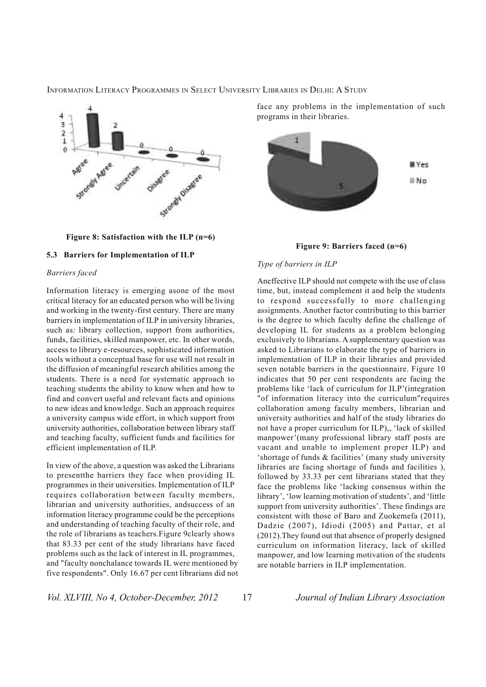

**Figure 8: Satisfaction with the ILP (n=6)**

#### **5.3 Barriers for Implementation of ILP**

#### *Barriers faced*

Information literacy is emerging asone of the most critical literacy for an educated person who will be living and working in the twenty-first century. There are many barriers in implementation of ILP in university libraries, such as: library collection, support from authorities, funds, facilities, skilled manpower, etc. In other words, access to library e-resources, sophisticated information tools without a conceptual base for use will not result in the diffusion of meaningful research abilities among the students. There is a need for systematic approach to teaching students the ability to know when and how to find and convert useful and relevant facts and opinions to new ideas and knowledge. Such an approach requires a university campus wide effort, in which support from university authorities, collaboration between library staff and teaching faculty, sufficient funds and facilities for efficient implementation of ILP.

In view of the above, a question was asked the Librarians to presentthe barriers they face when providing IL programmes in their universities. Implementation of ILP requires collaboration between faculty members, librarian and university authorities, andsuccess of an information literacy programme could be the perceptions and understanding of teaching faculty of their role, and the role of librarians as teachers.Figure 9clearly shows that 83.33 per cent of the study librarians have faced problems such as the lack of interest in IL programmes, and "faculty nonchalance towards IL were mentioned by five respondents". Only 16.67 per cent librarians did not face any problems in the implementation of such programs in their libraries.



**Figure 9: Barriers faced (n=6)**

#### *Type of barriers in ILP*

Aneffective ILP should not compete with the use of class time, but, instead complement it and help the students to respond successfully to more challenging assignments. Another factor contributing to this barrier is the degree to which faculty define the challenge of developing IL for students as a problem belonging exclusively to librarians. A supplementary question was asked to Librarians to elaborate the type of barriers in implementation of ILP in their libraries and provided seven notable barriers in the questionnaire. Figure 10 indicates that 50 per cent respondents are facing the problems like 'lack of curriculum for ILP'(integration "of information literacy into the curriculum"requires collaboration among faculty members, librarian and university authorities and half of the study libraries do not have a proper curriculum for ILP),, 'lack of skilled manpower'(many professional library staff posts are vacant and unable to implement proper ILP) and 'shortage of funds & facilities' (many study university libraries are facing shortage of funds and facilities ), followed by 33.33 per cent librarians stated that they face the problems like 'lacking consensus within the library', 'low learning motivation of students', and 'little support from university authorities'. These findings are consistent with those of Baro and Zuokemefa (2011), Dadzie (2007), Idiodi (2005) and Pattar, et al (2012).They found out that absence of properly designed curriculum on information literacy, lack of skilled manpower, and low learning motivation of the students are notable barriers in ILP implementation.

*Vol. XLVIII, No 4, October-December, 2012* 17 *Journal of Indian Library Association*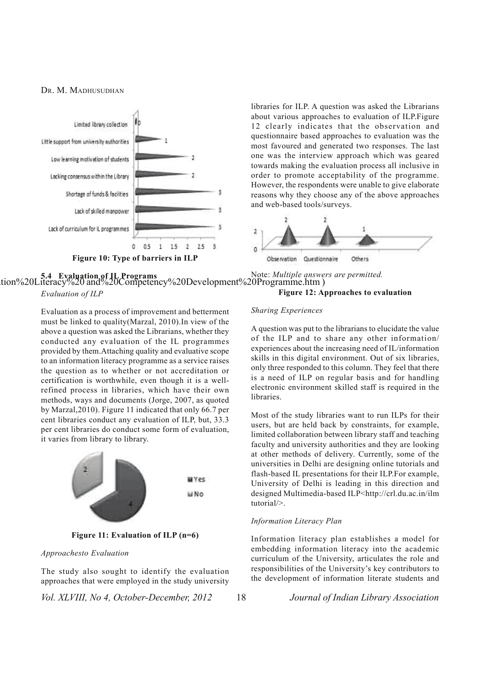

libraries for ILP. A question was asked the Librarians about various approaches to evaluation of ILP.Figure 12 clearly indicates that the observation and questionnaire based approaches to evaluation was the most favoured and generated two responses. The last one was the interview approach which was geared towards making the evaluation process all inclusive in order to promote acceptability of the programme. However, the respondents were unable to give elaborate reasons why they choose any of the above approaches and web-based tools/surveys.



ation%20Literacy%20 and%20Competency%20Development%20Programme.htm ) **5.4 Evaluation of IL Programs** *Evaluation of ILP* Note: *Multiple answers are permitted.*

Evaluation as a process of improvement and betterment must be linked to quality(Marzal, 2010).In view of the above a question was asked the Librarians, whether they conducted any evaluation of the IL programmes provided by them.Attaching quality and evaluative scope to an information literacy programme as a service raises the question as to whether or not accreditation or certification is worthwhile, even though it is a wellrefined process in libraries, which have their own methods, ways and documents (Jorge, 2007, as quoted by Marzal,2010). Figure 11 indicated that only 66.7 per cent libraries conduct any evaluation of ILP, but, 33.3 per cent libraries do conduct some form of evaluation, it varies from library to library.



**Figure 11: Evaluation of ILP (n=6)**

#### *Approachesto Evaluation*

The study also sought to identify the evaluation approaches that were employed in the study university

*Vol. XLVIII, No 4, October-December, 2012* 18 *Journal of Indian Library Association*

#### **Figure 12: Approaches to evaluation**

#### *Sharing Experiences*

A question was put to the librarians to elucidate the value of the ILP and to share any other information/ experiences about the increasing need of IL/information skills in this digital environment. Out of six libraries, only three responded to this column. They feel that there is a need of ILP on regular basis and for handling electronic environment skilled staff is required in the libraries.

Most of the study libraries want to run ILPs for their users, but are held back by constraints, for example, limited collaboration between library staff and teaching faculty and university authorities and they are looking at other methods of delivery. Currently, some of the universities in Delhi are designing online tutorials and flash-based IL presentations for their ILP.For example, University of Delhi is leading in this direction and designed Multimedia-based ILP<http://crl.du.ac.in/ilm tutorial/>.

#### *Information Literacy Plan*

Information literacy plan establishes a model for embedding information literacy into the academic curriculum of the University, articulates the role and responsibilities of the University's key contributors to the development of information literate students and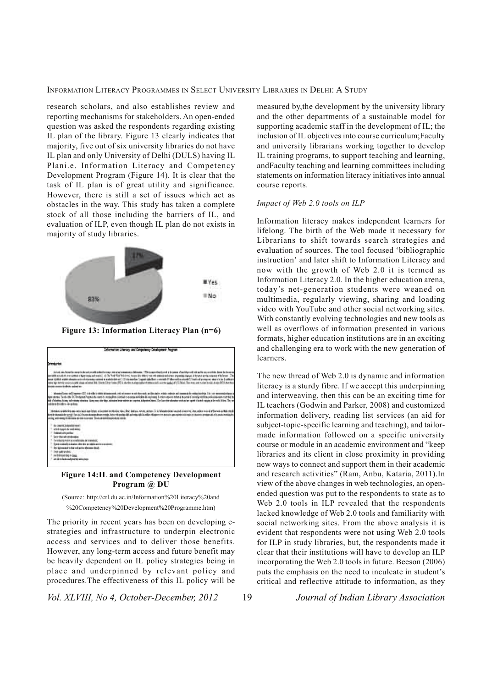research scholars, and also establishes review and reporting mechanisms for stakeholders. An open-ended question was asked the respondents regarding existing IL plan of the library. Figure 13 clearly indicates that majority, five out of six university libraries do not have IL plan and only University of Delhi (DULS) having IL Plani.e. Information Literacy and Competency Development Program (Figure 14). It is clear that the task of IL plan is of great utility and significance. However, there is still a set of issues which act as obstacles in the way. This study has taken a complete stock of all those including the barriers of IL, and evaluation of ILP, even though IL plan do not exists in majority of study libraries.



**Figure 13: Information Literacy Plan (n=6)**

|                                                                                                                                      | Information Literacy and Congetency Development Program                                                                                                                                                                                                                                                                                                                                                                                                                                                                                                                                                                                                                                                                                                               |
|--------------------------------------------------------------------------------------------------------------------------------------|-----------------------------------------------------------------------------------------------------------------------------------------------------------------------------------------------------------------------------------------------------------------------------------------------------------------------------------------------------------------------------------------------------------------------------------------------------------------------------------------------------------------------------------------------------------------------------------------------------------------------------------------------------------------------------------------------------------------------------------------------------------------------|
|                                                                                                                                      |                                                                                                                                                                                                                                                                                                                                                                                                                                                                                                                                                                                                                                                                                                                                                                       |
| install committee division advertiser                                                                                                | Scientist was hangelig were their test provide sciencifs since when dual completed if identity. This is particles that the basic of unitate science of a six provides, less working, lesser as<br>persisted accusts the exclusions of type message and model (1). The York Vick Vick Vick Vick Council of the of the of the site added and where the term in present products in the second prints of the former. The<br>send (USE) might should get intrinsing research a grand about C this sender Crayett stablest member (Filtermate insight) the stand press we can do by business<br>resus has monito assignments down a formal bill (line to The channel) is shorter on later of themas with a one quals of the line to a seat to start female of the box that |
| collidate in their stallants, calculated                                                                                             | a new charge." There is every the and the compa-<br>Mondel Liver ad Depose- (LT) is delicated shipper with individual commentation and determinist address and month in collection to a late of an expectation of a<br>sprass. To doll to 20 Designa Popula is com it stopp free standed marying antiquity for a series anyone and a seperation only at the problems on truck and the<br>tolds of sharehous and medicine of medicine. Justice was interesting interest device whether an imprime, to be minutes (See the state of whether work and an input of to their impacts as the world of thes. They are                                                                                                                                                        |
|                                                                                                                                      | International analysis that contact acids doesn't began, and account they started to the first party instance, when including the first individual and acids in laten to the started and the month of the words and their cond<br>Breat Management of the call from attended into yourself. You will and an old and an AD in Allie Allian America are also assign a provided to you in the man or around a fit are an interest and<br>camp with streets to demonstrate in the second first and detailed a street week. The contract of the contract of<br>production and products<br>the second company is a second to be a second to be a second to be a second to be a second to be a second to be<br>LUIS SINGLE IN CARD & ROOM IN THE STATE                       |
| In capita kissola keel<br><b>Limits happin de sont andres</b><br>Treasunk city problem:                                              |                                                                                                                                                                                                                                                                                                                                                                                                                                                                                                                                                                                                                                                                                                                                                                       |
| ber-des-st-antenaire<br>Constitution to dow occur affectable del conservativ<br>De c'èst mariente la dopo adi poi la internazionale. | Download and a state of the context of the state of the state of the context of the context of the context of                                                                                                                                                                                                                                                                                                                                                                                                                                                                                                                                                                                                                                                         |
| The sale widow committee to the<br>in thick an was them.<br>ar de siluita ademáticament                                              |                                                                                                                                                                                                                                                                                                                                                                                                                                                                                                                                                                                                                                                                                                                                                                       |

**Figure 14:IL and Competency Development Program @ DU**

(Source: http://crl.du.ac.in/Information%20Literacy%20and %20Competency%20Development%20Programme.htm)

The priority in recent years has been on developing estrategies and infrastructure to underpin electronic access and services and to deliver those benefits. However, any long-term access and future benefit may be heavily dependent on IL policy strategies being in place and underpinned by relevant policy and procedures.The effectiveness of this IL policy will be

*Vol. XLVIII, No 4, October-December, 2012* 19 *Journal of Indian Library Association*

measured by,the development by the university library and the other departments of a sustainable model for supporting academic staff in the development of IL; the inclusion of IL objectives into course curriculum;Faculty and university librarians working together to develop IL training programs, to support teaching and learning, andFaculty teaching and learning committees including statements on information literacy initiatives into annual course reports.

#### *Impact of Web 2.0 tools on ILP*

Information literacy makes independent learners for lifelong. The birth of the Web made it necessary for Librarians to shift towards search strategies and evaluation of sources. The tool focused 'bibliographic instruction' and later shift to Information Literacy and now with the growth of Web 2.0 it is termed as Information Literacy 2.0. In the higher education arena, today's net-generation students were weaned on multimedia, regularly viewing, sharing and loading video with YouTube and other social networking sites. With constantly evolving technologies and new tools as well as overflows of information presented in various formats, higher education institutions are in an exciting and challenging era to work with the new generation of learners.

The new thread of Web 2.0 is dynamic and information literacy is a sturdy fibre. If we accept this underpinning and interweaving, then this can be an exciting time for IL teachers (Godwin and Parker, 2008) and customized information delivery, reading list services (an aid for subject-topic-specific learning and teaching), and tailormade information followed on a specific university course or module in an academic environment and "keep libraries and its client in close proximity in providing new ways to connect and support them in their academic and research activities" (Ram, Anbu, Kataria, 2011).In view of the above changes in web technologies, an openended question was put to the respondents to state as to Web 2.0 tools in ILP revealed that the respondents lacked knowledge of Web 2.0 tools and familiarity with social networking sites. From the above analysis it is evident that respondents were not using Web 2.0 tools for ILP in study libraries, but, the respondents made it clear that their institutions will have to develop an ILP incorporating the Web 2.0 tools in future. Beeson (2006) puts the emphasis on the need to inculcate in student's critical and reflective attitude to information, as they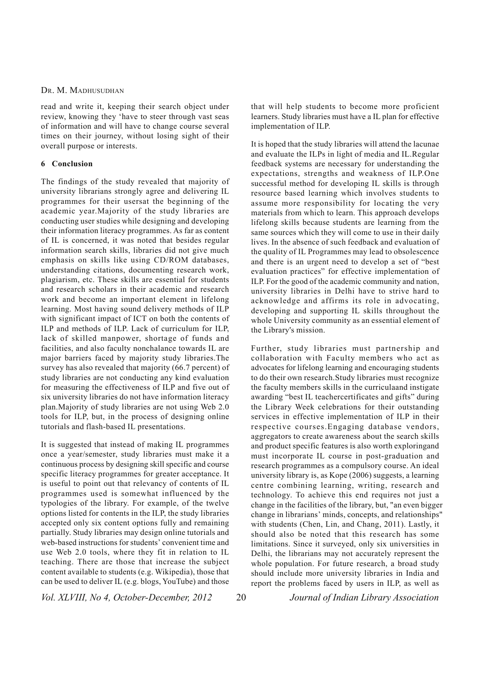read and write it, keeping their search object under review, knowing they 'have to steer through vast seas of information and will have to change course several times on their journey, without losing sight of their overall purpose or interests.

#### **6 Conclusion**

The findings of the study revealed that majority of university librarians strongly agree and delivering IL programmes for their usersat the beginning of the academic year.Majority of the study libraries are conducting user studies while designing and developing their information literacy programmes. As far as content of IL is concerned, it was noted that besides regular information search skills, libraries did not give much emphasis on skills like using CD/ROM databases, understanding citations, documenting research work, plagiarism, etc. These skills are essential for students and research scholars in their academic and research work and become an important element in lifelong learning. Most having sound delivery methods of ILP with significant impact of ICT on both the contents of ILP and methods of ILP. Lack of curriculum for ILP, lack of skilled manpower, shortage of funds and facilities, and also faculty nonchalance towards IL are major barriers faced by majority study libraries.The survey has also revealed that majority (66.7 percent) of study libraries are not conducting any kind evaluation for measuring the effectiveness of ILP and five out of six university libraries do not have information literacy plan.Majority of study libraries are not using Web 2.0 tools for ILP, but, in the process of designing online tutorials and flash-based IL presentations.

It is suggested that instead of making IL programmes once a year/semester, study libraries must make it a continuous process by designing skill specific and course specific literacy programmes for greater acceptance. It is useful to point out that relevancy of contents of IL programmes used is somewhat influenced by the typologies of the library. For example, of the twelve options listed for contents in the ILP, the study libraries accepted only six content options fully and remaining partially. Study libraries may design online tutorials and web-based instructions for students' convenient time and use Web 2.0 tools, where they fit in relation to IL teaching. There are those that increase the subject content available to students (e.g. Wikipedia), those that can be used to deliver IL (e.g. blogs, YouTube) and those

that will help students to become more proficient learners. Study libraries must have a IL plan for effective implementation of ILP.

It is hoped that the study libraries will attend the lacunae and evaluate the ILPs in light of media and IL.Regular feedback systems are necessary for understanding the expectations, strengths and weakness of ILP.One successful method for developing IL skills is through resource based learning which involves students to assume more responsibility for locating the very materials from which to learn. This approach develops lifelong skills because students are learning from the same sources which they will come to use in their daily lives. In the absence of such feedback and evaluation of the quality of IL Programmes may lead to obsolescence and there is an urgent need to develop a set of "best evaluation practices" for effective implementation of ILP. For the good of the academic community and nation, university libraries in Delhi have to strive hard to acknowledge and affirms its role in advocating, developing and supporting IL skills throughout the whole University community as an essential element of the Library's mission.

Further, study libraries must partnership and collaboration with Faculty members who act as advocates for lifelong learning and encouraging students to do their own research.Study libraries must recognize the faculty members skills in the curriculaand instigate awarding "best IL teachercertificates and gifts" during the Library Week celebrations for their outstanding services in effective implementation of ILP in their respective courses.Engaging database vendors, aggregators to create awareness about the search skills and product specific features is also worth exploringand must incorporate IL course in post-graduation and research programmes as a compulsory course. An ideal university library is, as Kope (2006) suggests, a learning centre combining learning, writing, research and technology. To achieve this end requires not just a change in the facilities of the library, but, "an even bigger change in librarians' minds, concepts, and relationships" with students (Chen, Lin, and Chang, 2011). Lastly, it should also be noted that this research has some limitations. Since it surveyed, only six universities in Delhi, the librarians may not accurately represent the whole population. For future research, a broad study should include more university libraries in India and report the problems faced by users in ILP, as well as

*Vol. XLVIII, No 4, October-December, 2012* 20 *Journal of Indian Library Association*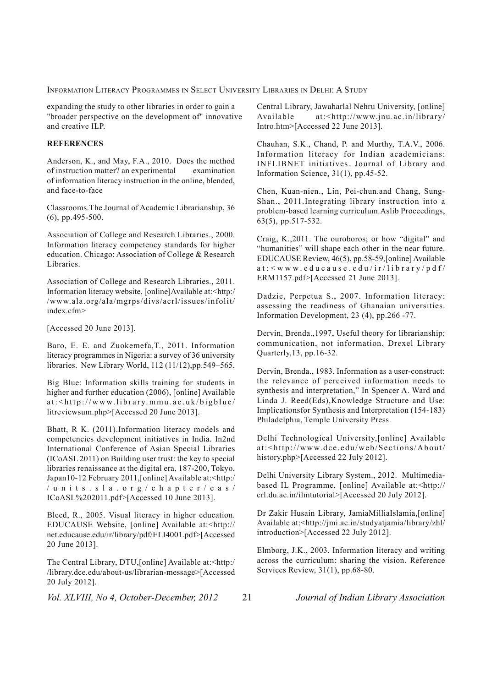expanding the study to other libraries in order to gain a "broader perspective on the development of" innovative and creative ILP.

#### **REFERENCES**

Anderson, K., and May, F.A., 2010. Does the method of instruction matter? an experimental examination of information literacy instruction in the online, blended, and face-to-face

Classrooms.The Journal of Academic Librarianship, 36 (6), pp.495-500.

Association of College and Research Libraries., 2000. Information literacy competency standards for higher education. Chicago: Association of College & Research Libraries.

Association of College and Research Libraries., 2011. Information literacy website, [online]Available at:<http:/ /www.ala.org/ala/mgrps/divs/acrl/issues/infolit/ index.cfm>

[Accessed 20 June 2013].

Baro, E. E. and Zuokemefa,T., 2011. Information literacy programmes in Nigeria: a survey of 36 university libraries. New Library World, 112 (11/12),pp.549–565.

Big Blue: Information skills training for students in higher and further education (2006), [online] Available at:<http://www.library.mmu.ac.uk/bigblue/ litreviewsum.php>[Accessed 20 June 2013].

Bhatt, R K. (2011).Information literacy models and competencies development initiatives in India. In2nd International Conference of Asian Special Libraries (ICoASL 2011) on Building user trust: the key to special libraries renaissance at the digital era, 187-200, Tokyo, Japan10-12 February 2011,[online] Available at:<http:/ /units.sla.org/chapter/cas/ ICoASL%202011.pdf>[Accessed 10 June 2013].

Bleed, R., 2005. Visual literacy in higher education. EDUCAUSE Website, [online] Available at:<http:// net.educause.edu/ir/library/pdf/ELI4001.pdf>[Accessed 20 June 2013].

The Central Library, DTU,[online] Available at:<http:/ /library.dce.edu/about-us/librarian-message>[Accessed 20 July 2012].

Central Library, Jawaharlal Nehru University, [online] Available at:<http://www.jnu.ac.in/library/ Intro.htm>[Accessed 22 June 2013].

Chauhan, S.K., Chand, P. and Murthy, T.A.V., 2006. Information literacy for Indian academicians: INFLIBNET initiatives. Journal of Library and Information Science, 31(1), pp.45-52.

Chen, Kuan-nien., Lin, Pei-chun.and Chang, Sung-Shan., 2011.Integrating library instruction into a problem-based learning curriculum.Aslib Proceedings, 63(5), pp.517-532.

Craig, K.,2011. The ouroboros; or how "digital" and "humanities" will shape each other in the near future. EDUCAUSE Review, 46(5), pp.58-59,[online] Available at:<www.educause.edu/ir/library/pdf/ ERM1157.pdf>[Accessed 21 June 2013].

Dadzie, Perpetua S., 2007. Information literacy: assessing the readiness of Ghanaian universities. Information Development, 23 (4), pp.266 -77.

Dervin, Brenda.,1997, Useful theory for librarianship: communication, not information. Drexel Library Quarterly,13, pp.16-32.

Dervin, Brenda., 1983. Information as a user-construct: the relevance of perceived information needs to synthesis and interpretation," In Spencer A. Ward and Linda J. Reed(Eds),Knowledge Structure and Use: Implicationsfor Synthesis and Interpretation (154-183) Philadelphia, Temple University Press.

Delhi Technological University,[online] Available at:<http://www.dce.edu/web/Sections/About/ history.php>[Accessed 22 July 2012].

Delhi University Library System., 2012. Multimediabased IL Programme, [online] Available at:<http:// crl.du.ac.in/ilmtutorial>[Accessed 20 July 2012].

Dr Zakir Husain Library, JamiaMilliaIslamia,[online] Available at:<http://jmi.ac.in/studyatjamia/library/zhl/ introduction>[Accessed 22 July 2012].

Elmborg, J.K., 2003. Information literacy and writing across the curriculum: sharing the vision. Reference Services Review, 31(1), pp.68-80.

*Vol. XLVIII, No 4, October-December, 2012* 21 *Journal of Indian Library Association*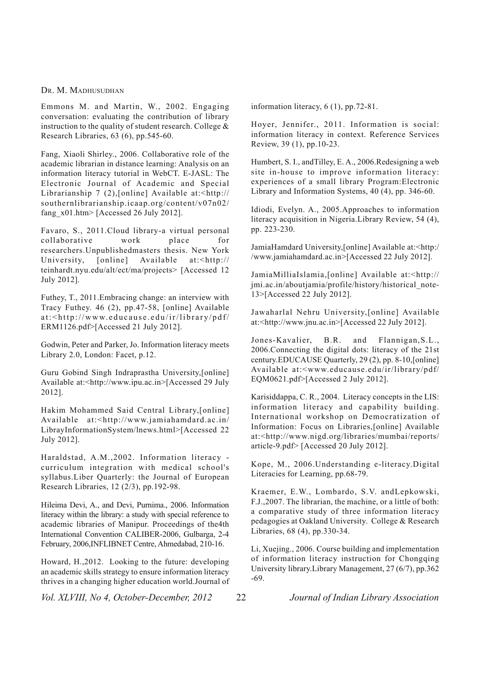Emmons M. and Martin, W., 2002. Engaging conversation: evaluating the contribution of library instruction to the quality of student research. College & Research Libraries, 63 (6), pp.545-60.

Fang, Xiaoli Shirley., 2006. Collaborative role of the academic librarian in distance learning: Analysis on an information literacy tutorial in WebCT. E-JASL: The Electronic Journal of Academic and Special Librarianship 7 (2), [online] Available at:<http:// southernlibrarianship.icaap.org/content/v07n02/ fang  $x01.htm$  [Accessed 26 July 2012].

Favaro, S., 2011.Cloud library-a virtual personal collaborative work place for researchers.Unpublishedmasters thesis. New York University, [online] Available at:<http:// teinhardt.nyu.edu/alt/ect/ma/projects> [Accessed 12 July 2012].

Futhey, T., 2011.Embracing change: an interview with Tracy Futhey. 46 (2), pp.47-58, [online] Available at:<http://www.educause.edu/ir/library/pdf/ ERM1126.pdf>[Accessed 21 July 2012].

Godwin, Peter and Parker, Jo. Information literacy meets Library 2.0, London: Facet, p.12.

Guru Gobind Singh Indraprastha University,[online] Available at:<http://www.ipu.ac.in>[Accessed 29 July 2012].

Hakim Mohammed Said Central Library,[online] Available at:<http://www.jamiahamdard.ac.in/ LibrayInformationSystem/lnews.html>[Accessed 22 July 2012].

Haraldstad, A.M.,2002. Information literacy curriculum integration with medical school's syllabus.Liber Quarterly: the Journal of European Research Libraries, 12 (2/3), pp.192-98.

Hileima Devi, A., and Devi, Purnima., 2006. Information literacy within the library: a study with special reference to academic libraries of Manipur. Proceedings of the4th International Convention CALIBER-2006, Gulbarga, 2-4 February, 2006,INFLIBNET Centre, Ahmedabad, 210-16.

Howard, H.,2012. Looking to the future: developing an academic skills strategy to ensure information literacy thrives in a changing higher education world.Journal of information literacy, 6 (1), pp.72-81.

Hoyer, Jennifer., 2011. Information is social: information literacy in context. Reference Services Review, 39 (1), pp.10-23.

Humbert, S. I., andTilley, E. A., 2006.Redesigning a web site in-house to improve information literacy: experiences of a small library Program:Electronic Library and Information Systems, 40 (4), pp. 346-60.

Idiodi, Evelyn. A., 2005.Approaches to information literacy acquisition in Nigeria.Library Review, 54 (4), pp. 223-230.

JamiaHamdard University,[online] Available at:<http:/ /www.jamiahamdard.ac.in>[Accessed 22 July 2012].

JamiaMilliaIslamia,[online] Available at:<http:// jmi.ac.in/aboutjamia/profile/history/historical\_note-13>[Accessed 22 July 2012].

Jawaharlal Nehru University,[online] Available at:<http://www.jnu.ac.in>[Accessed 22 July 2012].

Jones-Kavalier, B.R. and Flannigan,S.L., 2006.Connecting the digital dots: literacy of the 21st century.EDUCAUSE Quarterly, 29 (2), pp. 8-10,[online] Available at:<www.educause.edu/ir/library/pdf/ EQM0621.pdf>[Accessed 2 July 2012].

Karisiddappa, C. R., 2004. Literacy concepts in the LIS: information literacy and capability building. International workshop on Democratization of Information: Focus on Libraries,[online] Available at:<http://www.nigd.org/libraries/mumbai/reports/ article-9.pdf> [Accessed 20 July 2012].

Kope, M., 2006.Understanding e-literacy.Digital Literacies for Learning, pp.68-79.

Kraemer, E.W., Lombardo, S.V. andLepkowski, F.J.,2007. The librarian, the machine, or a little of both: a comparative study of three information literacy pedagogies at Oakland University. College & Research Libraries, 68 (4), pp.330-34.

Li, Xuejing., 2006. Course building and implementation of information literacy instruction for Chongqing University library.Library Management, 27 (6/7), pp.362 -69.

*Vol. XLVIII, No 4, October-December, 2012* 22 *Journal of Indian Library Association*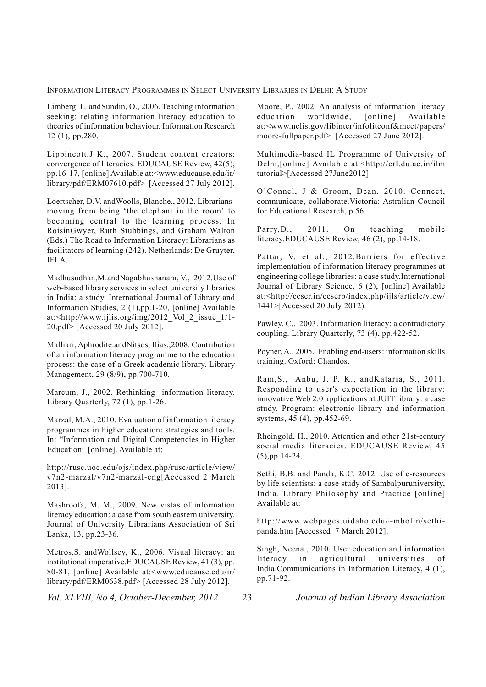Limberg, L. andSundin, O., 2006. Teaching information seeking: relating information literacy education to theories of information behaviour. Information Research 12 (1), pp.280.

Lippincott,J K., 2007. Student content creators: convergence of literacies. EDUCAUSE Review, 42(5), pp.16-17, [online] Available at:<www.educause.edu/ir/ library/pdf/ERM07610.pdf> [Accessed 27 July 2012].

Loertscher, D.V. andWoolls, Blanche., 2012. Librariansmoving from being 'the elephant in the room' to becoming central to the learning process. In RoisinGwyer, Ruth Stubbings, and Graham Walton (Eds.) The Road to Information Literacy: Librarians as facilitators of learning (242). Netherlands: De Gruyter, IFLA.

Madhusudhan,M.andNagabhushanam, V., 2012.Use of web-based library services in select university libraries in India: a study. International Journal of Library and Information Studies, 2 (1),pp.1-20, [online] Available at:<http://www.ijlis.org/img/2012\_Vol\_2\_issue\_1/1- 20.pdf> [Accessed 20 July 2012].

Malliari, Aphrodite.andNitsos, Ilias.,2008. Contribution of an information literacy programme to the education process: the case of a Greek academic library. Library Management, 29 (8/9), pp.700-710.

Marcum, J., 2002. Rethinking information literacy. Library Quarterly, 72 (1), pp.1-26.

Marzal, M.Á., 2010. Evaluation of information literacy programmes in higher education: strategies and tools. In: "Information and Digital Competencies in Higher Education" [online]. Available at:

http://rusc.uoc.edu/ojs/index.php/rusc/article/view/ v7n2-marzal/v7n2-marzal-eng[Accessed 2 March 2013].

Mashroofa, M. M., 2009. New vistas of information literacy education: a case from south eastern university. Journal of University Librarians Association of Sri Lanka, 13, pp.23-36.

Metros,S. andWollsey, K., 2006. Visual literacy: an institutional imperative.EDUCAUSE Review, 41 (3), pp. 80-81, [online] Available at:<www.educause.edu/ir/ library/pdf/ERM0638.pdf> [Accessed 28 July 2012].

Moore, P., 2002. An analysis of information literacy education worldwide, [online] Available at:<www.nclis.gov/libinter/infolitconf&meet/papers/ moore-fullpaper.pdf> [Accessed 27 June 2012].

Multimedia-based IL Programme of University of Delhi,[online] Available at:<http://crl.du.ac.in/ilm tutorial>[Accessed 27June2012].

O'Connel, J & Groom, Dean. 2010. Connect, communicate, collaborate.Victoria: Astralian Council for Educational Research, p.56.

Parry,D., 2011. On teaching mobile literacy.EDUCAUSE Review, 46 (2), pp.14-18.

Pattar, V. et al., 2012.Barriers for effective implementation of information literacy programmes at engineering college libraries: a case study.International Journal of Library Science, 6 (2), [online] Available at:<http://ceser.in/ceserp/index.php/ijls/article/view/ 1441>[Accessed 20 July 2012).

Pawley, C., 2003. Information literacy: a contradictory coupling. Library Quarterly, 73 (4), pp.422-52.

Poyner, A., 2005. Enabling end-users: information skills training. Oxford: Chandos.

Ram,S., Anbu, J. P. K., andKataria, S., 2011. Responding to user's expectation in the library: innovative Web 2.0 applications at JUIT library: a case study. Program: electronic library and information systems, 45 (4), pp.452-69.

Rheingold, H., 2010. Attention and other 21st-century social media literacies. EDUCAUSE Review, 45 (5),pp.14-24.

Sethi, B.B. and Panda, K.C. 2012. Use of e-resources by life scientists: a case study of Sambalpuruniversity, India. Library Philosophy and Practice [online] Available at:

http://www.webpages.uidaho.edu/~mbolin/sethipanda.htm [Accessed 7 March 2012].

Singh, Neena., 2010. User education and information literacy in agricultural universities of India.Communications in Information Literacy, 4 (1), pp.71-92.

*Vol. XLVIII, No 4, October-December, 2012* 23 *Journal of Indian Library Association*